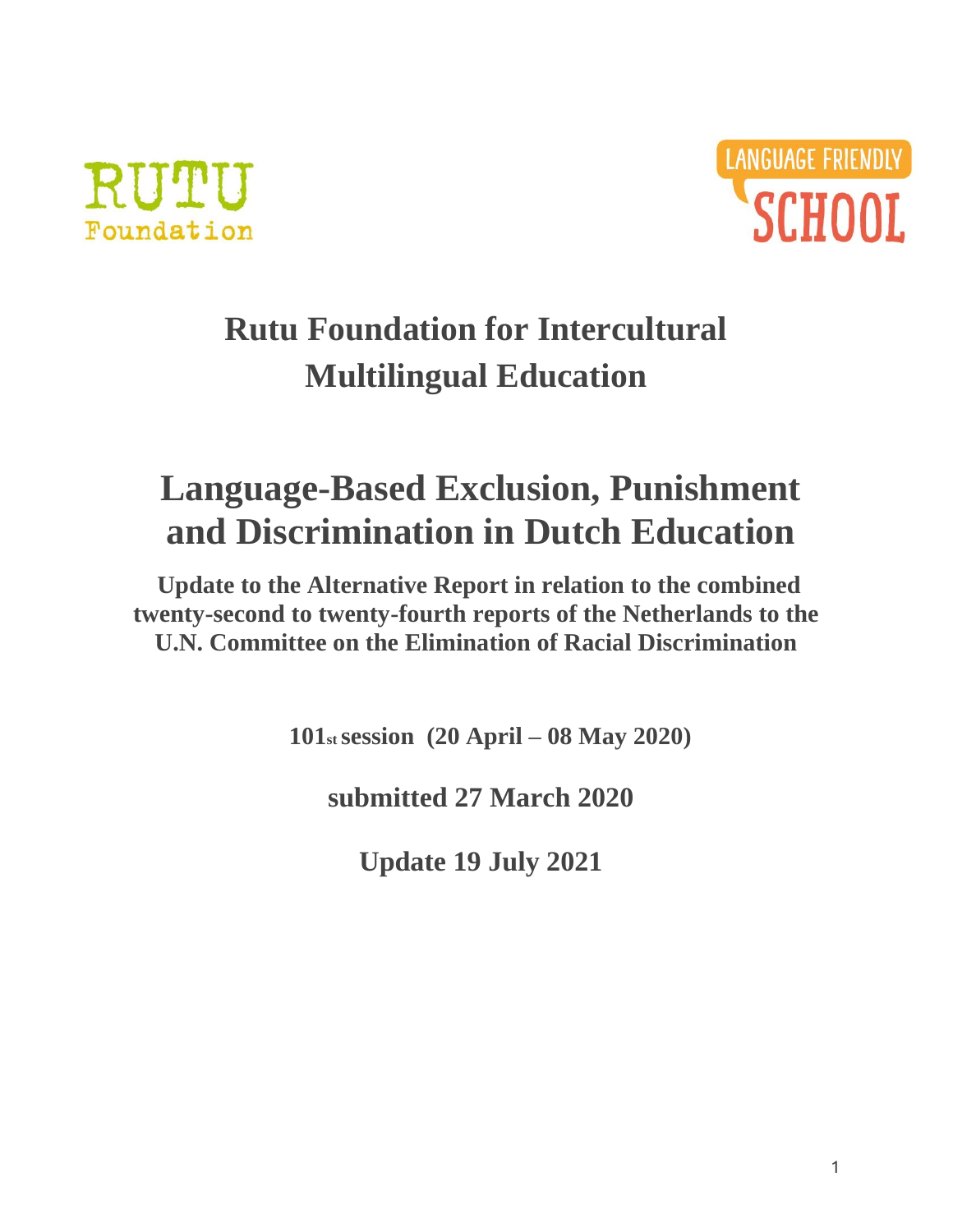



# **Rutu Foundation for Intercultural Multilingual Education**

# **Language-Based Exclusion, Punishment and Discrimination in Dutch Education**

**Update to the Alternative Report in relation to the combined twenty-second to twenty-fourth reports of the Netherlands to the U.N. Committee on the Elimination of Racial Discrimination**

**101st session (20 April – 08 May 2020)**

**submitted 27 March 2020**

**Update 19 July 2021**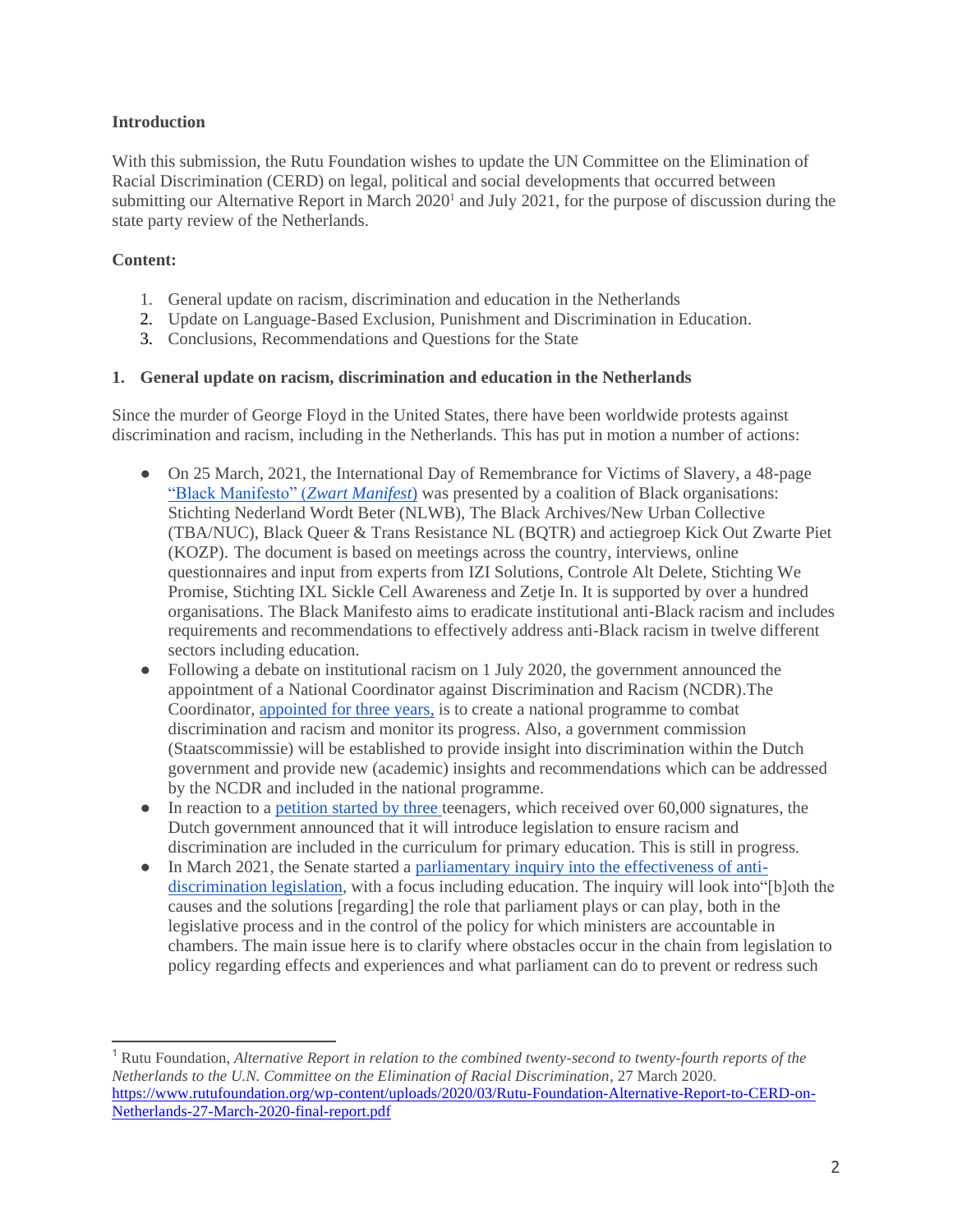# **Introduction**

With this submission, the Rutu Foundation wishes to update the UN Committee on the Elimination of Racial Discrimination (CERD) on legal, political and social developments that occurred between submitting our Alternative Report in March 2020<sup>1</sup> and July 2021, for the purpose of discussion during the state party review of the Netherlands.

# **Content:**

- 1. General update on racism, discrimination and education in the Netherlands
- 2. Update on Language-Based Exclusion, Punishment and Discrimination in Education.
- 3. Conclusions, Recommendations and Questions for the State

### **1. General update on racism, discrimination and education in the Netherlands**

Since the murder of George Floyd in the United States, there have been worldwide protests against discrimination and racism, including in the Netherlands. This has put in motion a number of actions:

- On 25 March, 2021, the International Day of Remembrance for Victims of Slavery, a 48-page ["Black Manifesto" \(](https://zwartmanifest.nl/home/)*[Zwart Manifest](https://zwartmanifest.nl/home/)*[\)](https://zwartmanifest.nl/home/) was presented by a coalition of Black organisations: Stichting Nederland Wordt Beter (NLWB), The Black Archives/New Urban Collective (TBA/NUC), Black Queer & Trans Resistance NL (BQTR) and actiegroep Kick Out Zwarte Piet (KOZP). The document is based on meetings across the country, interviews, online questionnaires and input from experts from IZI Solutions, Controle Alt Delete, Stichting We Promise, Stichting IXL Sickle Cell Awareness and Zetje In. It is supported by over a hundred organisations. The Black Manifesto aims to eradicate institutional anti-Black racism and includes requirements and recommendations to effectively address anti-Black racism in twelve different sectors including education.
- Following a debate on institutional racism on 1 July 2020, the government announced the appointment of a National Coordinator against Discrimination and Racism (NCDR).The Coordinator, appointed [for three years,](https://www.rijksoverheid.nl/documenten/rapporten/2021/06/11/functie-en-opdracht-nationaal-coordinator-tegen-discriminatie-en-racisme) is to create a national programme to combat discrimination and racism and monitor its progress. Also, a government commission (Staatscommissie) will be established to provide insight into discrimination within the Dutch government and provide new (academic) insights and recommendations which can be addressed by the NCDR and included in the national programme.
- In reaction to a [petition started](https://www.volkskrant.nl/nieuws-achtergrond/dankzij-hen-praat-de-kamer-over-racisme-en-discriminatie-in-de-klas-ze-winnen-er-de-over-hoop-prijs-voor~be6769cb/) by thre[e](https://www.volkskrant.nl/nieuws-achtergrond/dankzij-hen-praat-de-kamer-over-racisme-en-discriminatie-in-de-klas-ze-winnen-er-de-over-hoop-prijs-voor~be6769cb/) teenagers, which received over 60,000 signatures, the Dutch government announced that it will introduce legislation to ensure racism and discrimination are included in the curriculum for primary education. This is still in progress.
- In March 2021, the Senate started a [parliamentary inquiry into the effectiveness of anti](https://www.eerstekamer.nl/commissies/poc)[discrimination legislation,](https://www.eerstekamer.nl/commissies/poc) with a focus including education. The inquiry will look into"[b]oth the causes and the solutions [regarding] the role that parliament plays or can play, both in the legislative process and in the control of the policy for which ministers are accountable in chambers. The main issue here is to clarify where obstacles occur in the chain from legislation to policy regarding effects and experiences and what parliament can do to prevent or redress such

<sup>1</sup> Rutu Foundation, *Alternative Report in relation to the combined twenty-second to twenty-fourth reports of the Netherlands to the U.N. Committee on the Elimination of Racial Discrimination*, 27 March 2020. [https://www.rutufoundation.org/wp-content/uploads/2020/03/Rutu-Foundation-Alternative-Report-to-CERD-on-](https://www.rutufoundation.org/wp-content/uploads/2020/03/Rutu-Foundation-Alternative-Report-to-CERD-on-Netherlands-27-March-2020-final-report.pdf)[Netherlands-27-March-2020-final-report.pdf](https://www.rutufoundation.org/wp-content/uploads/2020/03/Rutu-Foundation-Alternative-Report-to-CERD-on-Netherlands-27-March-2020-final-report.pdf)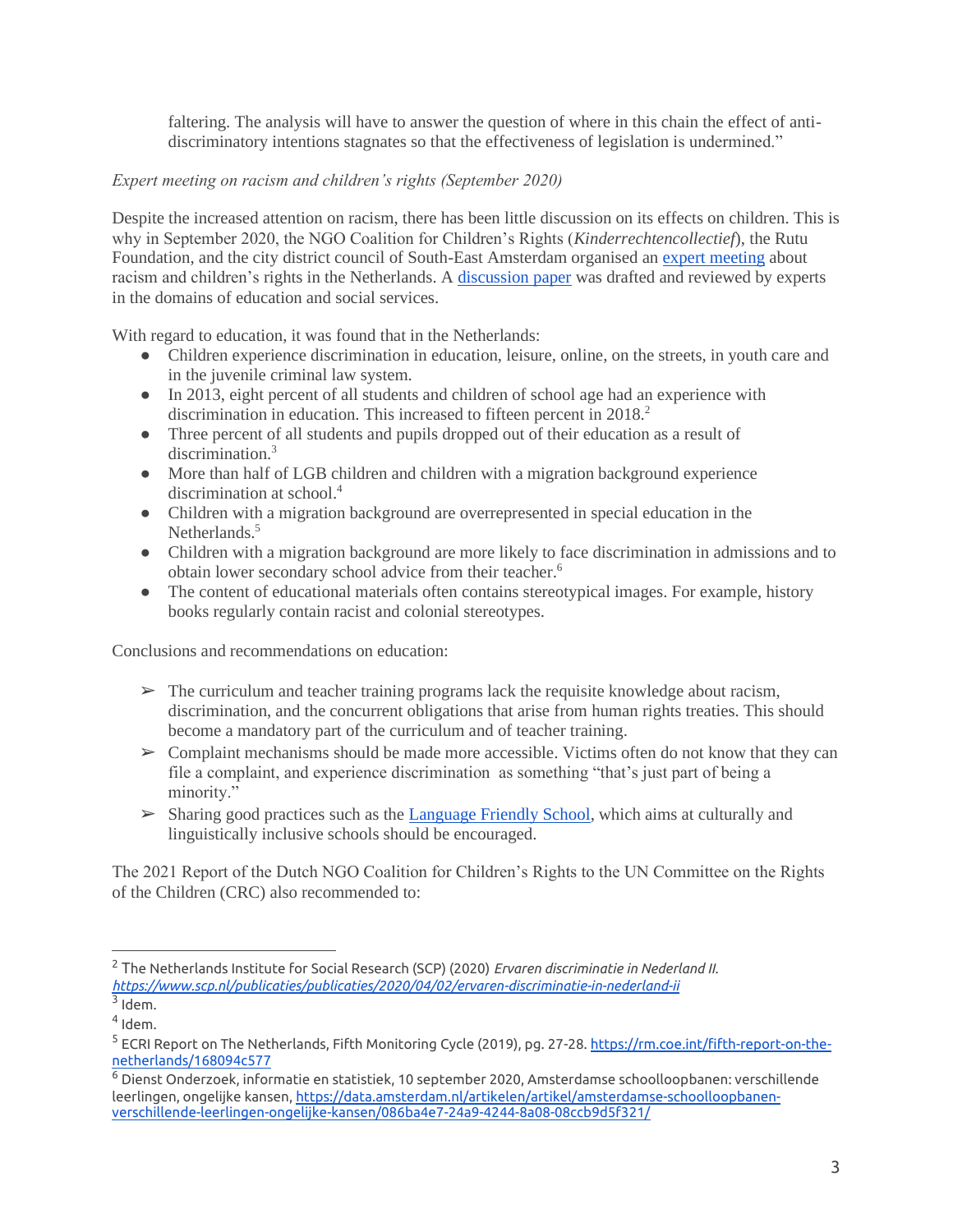faltering. The analysis will have to answer the question of where in this chain the effect of antidiscriminatory intentions stagnates so that the effectiveness of legislation is undermined."

# *Expert meeting on racism and children's rights (September 2020)*

Despite the increased attention on racism, there has been little discussion on its effects on children. This is why in September 2020, the NGO Coalition for Children's Rights (*Kinderrechtencollectief*), the Rutu Foundation, and the city district council of South-East Amsterdam organised an [expert meeting](https://www.rutufoundation.org/expert-meeting-about-racism-and-childrens-rights/) about racism and children's rights in the Netherlands. A [discussion paper](https://www.kinderrechten.nl/assets/2020/10/Discussiepaper-Kinderrechten-en-Racisme_Dec-2020.pdf) was drafted and reviewed by experts in the domains of education and social services.

With regard to education, it was found that in the Netherlands:

- Children experience discrimination in education, leisure, online, on the streets, in youth care and in the juvenile criminal law system.
- In 2013, eight percent of all students and children of school age had an experience with discrimination in education. This increased to fifteen percent in 2018.<sup>2</sup>
- Three percent of all students and pupils dropped out of their education as a result of discrimination.<sup>3</sup>
- More than half of LGB children and children with a migration background experience discrimination at school.<sup>4</sup>
- Children with a migration background are overrepresented in special education in the Netherlands.<sup>5</sup>
- Children with a migration background are more likely to face discrimination in admissions and to obtain lower secondary school advice from their teacher.<sup>6</sup>
- The content of educational materials often contains stereotypical images. For example, history books regularly contain racist and colonial stereotypes.

Conclusions and recommendations on education:

- $\triangleright$  The curriculum and teacher training programs lack the requisite knowledge about racism, discrimination, and the concurrent obligations that arise from human rights treaties. This should become a mandatory part of the curriculum and of teacher training.
- $\triangleright$  Complaint mechanisms should be made more accessible. Victims often do not know that they can file a complaint, and experience discrimination as something "that's just part of being a minority."
- ➢ Sharing good practices such as the [Language Friendly School,](https://languagefriendlyschool.org/) which aims at culturally and linguistically inclusive schools should be encouraged.

The 2021 Report of the Dutch NGO Coalition for Children's Rights to the UN Committee on the Rights of the Children (CRC) also recommended to:

<sup>2</sup> The Netherlands Institute for Social Research (SCP) (2020) *Ervaren discriminatie in Nederland II. <https://www.scp.nl/publicaties/publicaties/2020/04/02/ervaren-discriminatie-in-nederland-ii>*

 $3$  Idem.

 $4$  Idem.

<sup>&</sup>lt;sup>5</sup> ECRI Report on The Netherlands, Fifth Monitoring Cycle (2019), pg. 27-28. <u>https://rm.coe.int/fifth-report-on-the-</u> [netherlands/168094c577](https://rm.coe.int/fifth-report-on-the-netherlands/168094c577)

<sup>6</sup> Dienst Onderzoek, informatie en statistiek, 10 september 2020, Amsterdamse schoolloopbanen: verschillende leerlingen, ongelijke kansen[, https://data.amsterdam.nl/artikelen/artikel/amsterdamse-schoolloopbanen](https://data.amsterdam.nl/artikelen/artikel/amsterdamse-schoolloopbanen-verschillende-leerlingen-ongelijke-kansen/086ba4e7-24a9-4244-8a08-08ccb9d5f321/)[verschillende-leerlingen-ongelijke-kansen/086ba4e7-24a9-4244-8a08-08ccb9d5f321/](https://data.amsterdam.nl/artikelen/artikel/amsterdamse-schoolloopbanen-verschillende-leerlingen-ongelijke-kansen/086ba4e7-24a9-4244-8a08-08ccb9d5f321/)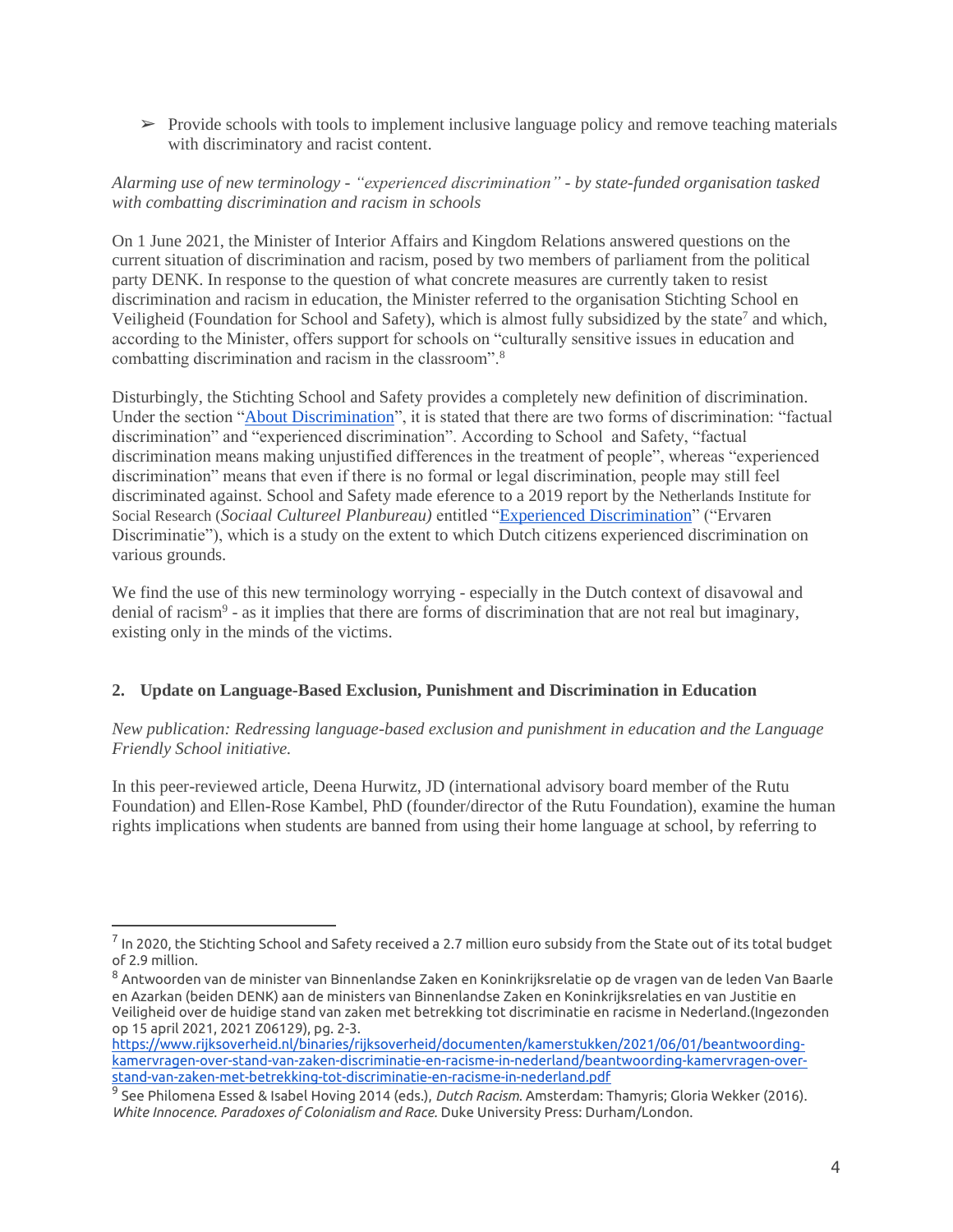$\triangleright$  Provide schools with tools to implement inclusive language policy and remove teaching materials with discriminatory and racist content.

# *Alarming use of new terminology - "experienced discrimination" - by state-funded organisation tasked with combatting discrimination and racism in schools*

On 1 June 2021, the Minister of Interior Affairs and Kingdom Relations answered questions on the current situation of discrimination and racism, posed by two members of parliament from the political party DENK. In response to the question of what concrete measures are currently taken to resist discrimination and racism in education, the Minister referred to the organisation Stichting School en Veiligheid (Foundation for School and Safety), which is almost fully subsidized by the state<sup>7</sup> and which, according to the Minister, offers support for schools on "culturally sensitive issues in education and combatting discrimination and racism in the classroom".<sup>8</sup>

Disturbingly, the Stichting School and Safety provides a completely new definition of discrimination. Under the section ["About Discrimination"](https://www.schoolenveiligheid.nl/thema/discriminatie-po/#over-discriminatie), it is stated that there are two forms of discrimination: "factual discrimination" and "experienced discrimination". According to School and Safety, "factual discrimination means making unjustified differences in the treatment of people", whereas "experienced discrimination" means that even if there is no formal or legal discrimination, people may still feel discriminated against. School and Safety made eference to a 2019 report by the Netherlands Institute for Social Research (*Sociaal Cultureel Planbureau)* entitled ["Experienced Discrimination"](https://www.schoolenveiligheid.nl/wp-content/uploads/2020/10/ErvarendiscriminatieinNederlandII.pdf) ("Ervaren Discriminatie"), which is a study on the extent to which Dutch citizens experienced discrimination on various grounds.

We find the use of this new terminology worrying - especially in the Dutch context of disavowal and denial of racism<sup>9</sup> - as it implies that there are forms of discrimination that are not real but imaginary, existing only in the minds of the victims.

### **2. Update on Language-Based Exclusion, Punishment and Discrimination in Education**

*New publication: Redressing language-based exclusion and punishment in education and the Language Friendly School initiative.* 

In this peer-reviewed article, Deena Hurwitz, JD (international advisory board member of the Rutu Foundation) and Ellen-Rose Kambel, PhD (founder/director of the Rutu Foundation), examine the human rights implications when students are banned from using their home language at school, by referring to

 $^7$  In 2020, the Stichting School and Safety received a 2.7 million euro subsidy from the State out of its total budget of 2.9 million.

<sup>8</sup> Antwoorden van de minister van Binnenlandse Zaken en Koninkrijksrelatie op de vragen van de leden Van Baarle en Azarkan (beiden DENK) aan de ministers van Binnenlandse Zaken en Koninkrijksrelaties en van Justitie en Veiligheid over de huidige stand van zaken met betrekking tot discriminatie en racisme in Nederland.(Ingezonden op 15 april 2021, 2021 Z06129), pg. 2-3.

[https://www.rijksoverheid.nl/binaries/rijksoverheid/documenten/kamerstukken/2021/06/01/beantwoording](https://www.rijksoverheid.nl/binaries/rijksoverheid/documenten/kamerstukken/2021/06/01/beantwoording-kamervragen-over-stand-van-zaken-discriminatie-en-racisme-in-nederland/beantwoording-kamervragen-over-stand-van-zaken-met-betrekking-tot-discriminatie-en-racisme-in-nederland.pdf)[kamervragen-over-stand-van-zaken-discriminatie-en-racisme-in-nederland/beantwoording-kamervragen-over](https://www.rijksoverheid.nl/binaries/rijksoverheid/documenten/kamerstukken/2021/06/01/beantwoording-kamervragen-over-stand-van-zaken-discriminatie-en-racisme-in-nederland/beantwoording-kamervragen-over-stand-van-zaken-met-betrekking-tot-discriminatie-en-racisme-in-nederland.pdf)[stand-van-zaken-met-betrekking-tot-discriminatie-en-racisme-in-nederland.pdf](https://www.rijksoverheid.nl/binaries/rijksoverheid/documenten/kamerstukken/2021/06/01/beantwoording-kamervragen-over-stand-van-zaken-discriminatie-en-racisme-in-nederland/beantwoording-kamervragen-over-stand-van-zaken-met-betrekking-tot-discriminatie-en-racisme-in-nederland.pdf)

<sup>9</sup> See Philomena Essed & Isabel Hoving 2014 (eds.), *Dutch Racism*. Amsterdam: Thamyris; Gloria Wekker (2016). *White Innocence. Paradoxes of Colonialism and Race.* Duke University Press: Durham/London.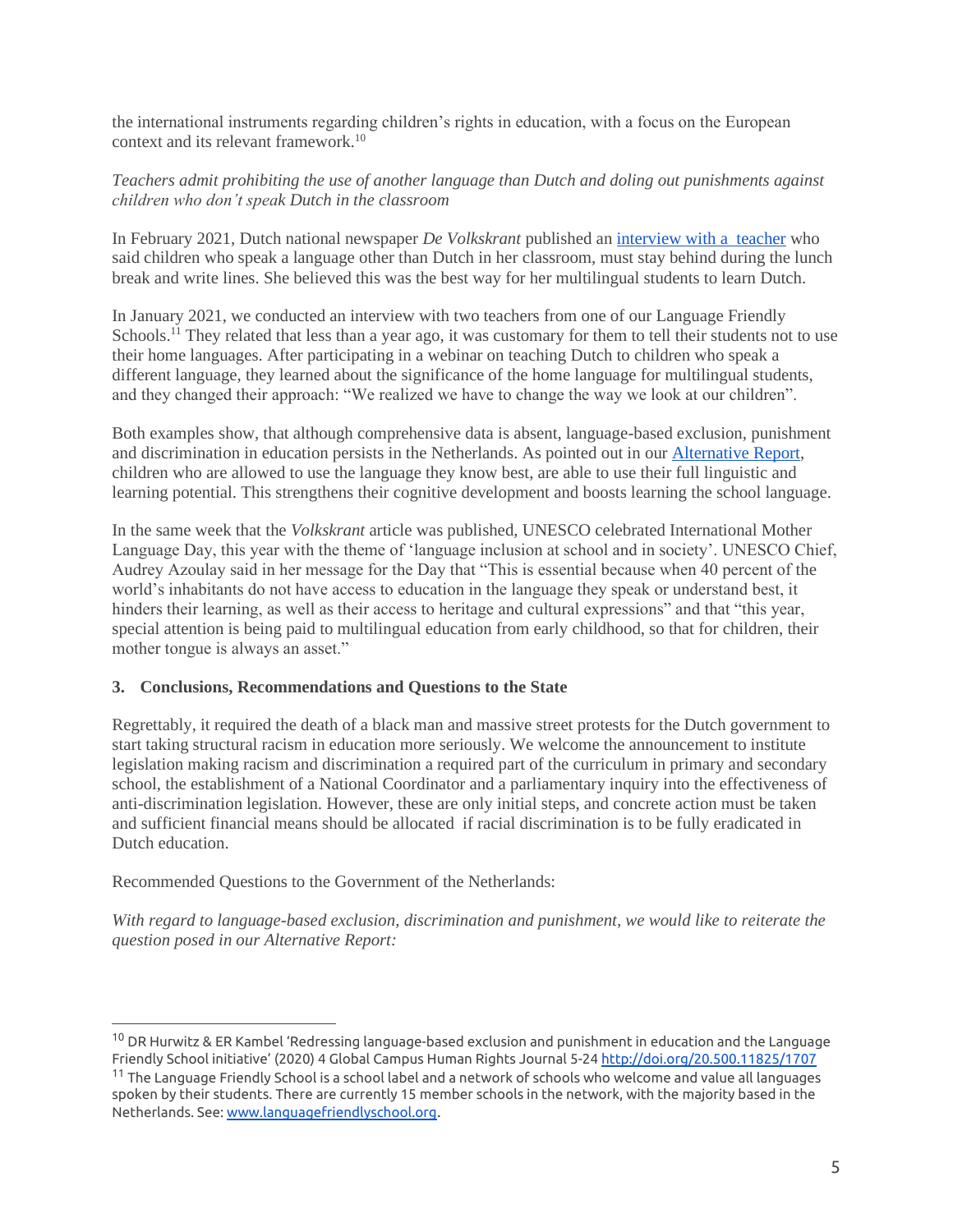the international instruments regarding children's rights in education, with a focus on the European context and its relevant framework.<sup>10</sup>

# *Teachers admit prohibiting the use of another language than Dutch and doling out punishments against children who don't speak Dutch in the classroom*

In February 2021, Dutch national newspaper *De Volkskrant* published an [interview with a teacher](https://www.volkskrant.nl/nieuws-achtergrond/weinig-leerlingen-hebben-zoveel-moeite-met-spelling-en-zijn-toch-zo-blij-met-een-dictee-als-enes~b4e43a4d/) who said children who speak a language other than Dutch in her classroom, must stay behind during the lunch break and write lines. She believed this was the best way for her multilingual students to learn Dutch.

In January 2021, we conducted an interview with two teachers from one of our Language Friendly Schools.<sup>11</sup> They related that less than a year ago, it was customary for them to tell their students not to use their home languages. After participating in a webinar on teaching Dutch to children who speak a different language, they learned about the significance of the home language for multilingual students, and they changed their approach: "We realized we have to change the way we look at our children".

Both examples show, that although comprehensive data is absent, language-based exclusion, punishment and discrimination in education persists in the Netherlands. As pointed out in our [Alternative Report,](https://www.rutufoundation.org/wp-content/uploads/2020/03/Rutu-Foundation-Alternative-Report-to-CERD-on-Netherlands-27-March-2020-final-report.pdf) children who are allowed to use the language they know best, are able to use their full linguistic and learning potential. This strengthens their cognitive development and boosts learning the school language.

In the same week that the *Volkskrant* article was published, UNESCO celebrated International Mother Language Day, this year with the theme of 'language inclusion at school and in society'. UNESCO Chief, Audrey Azoulay said in her message for the Day that "This is essential because when 40 percent of the world's inhabitants do not have access to education in the language they speak or understand best, it hinders their learning, as well as their access to heritage and cultural expressions" and that "this year, special attention is being paid to multilingual education from early childhood, so that for children, their mother tongue is always an asset."

### **3. Conclusions, Recommendations and Questions to the State**

Regrettably, it required the death of a black man and massive street protests for the Dutch government to start taking structural racism in education more seriously. We welcome the announcement to institute legislation making racism and discrimination a required part of the curriculum in primary and secondary school, the establishment of a National Coordinator and a parliamentary inquiry into the effectiveness of anti-discrimination legislation. However, these are only initial steps, and concrete action must be taken and sufficient financial means should be allocated if racial discrimination is to be fully eradicated in Dutch education.

Recommended Questions to the Government of the Netherlands:

*With regard to language-based exclusion, discrimination and punishment, we would like to reiterate the question posed in our Alternative Report:*

<sup>10</sup> DR Hurwitz & ER Kambel 'Redressing language-based exclusion and punishment in education and the Language Friendly School initiative' (2020) 4 Global Campus Human Rights Journal 5-2[4 http://doi.org/20.500.11825/1707](http://doi.org/20.500.11825/1707)

 $^\text{11}$  The Language Friendly School is a school label and a network of schools who welcome and value all languages spoken by their students. There are currently 15 member schools in the network, with the majority based in the Netherlands. See: [www.languagefriendlyschool.org](http://www.languagefriendlyschool.org/).